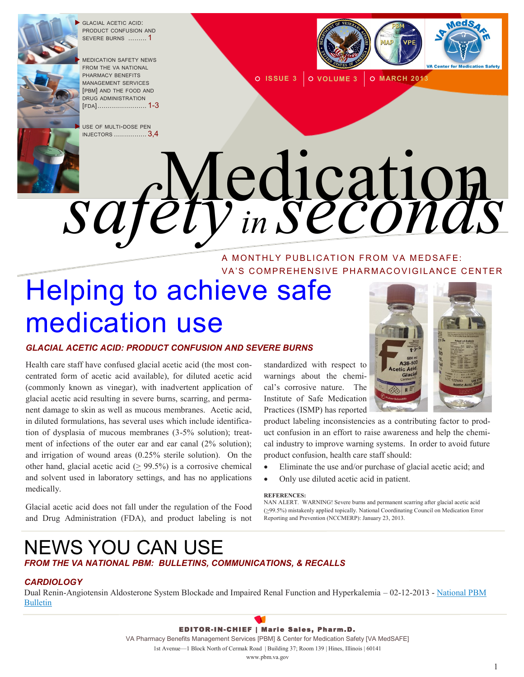

 GLACIAL ACETIC ACID: PRODUCT CONFUSION AND SEVERE BURNS ......... 1

 MEDICATION SAFETY NEWS FROM THE VA NATIONAL PHARMACY BENEFITS MANAGEMENT SERVICES [PBM] AND THE FOOD AND DRUG ADMINISTRATION [FDA]........................ 1-3

 USE OF MULTI-DOSE PEN INJECTORS [................](#page-2-0) 3,4



**O ISSUE 3 O VOLUME 3 O MARCH 2013** 

# Medication *safety in seconds* A MONTHLY PUBLICATION FROM VA MEDSAFE:

# VA'S COMPREHENSIVE PHARMACOVIGILANCE CENTER Helping to achieve safe medication use

## *GLACIAL ACETIC ACID: PRODUCT CONFUSION AND SEVERE BURNS*

Health care staff have confused glacial acetic acid (the most concentrated form of acetic acid available), for diluted acetic acid (commonly known as vinegar), with inadvertent application of glacial acetic acid resulting in severe burns, scarring, and permanent damage to skin as well as mucous membranes. Acetic acid, in diluted formulations, has several uses which include identification of dysplasia of mucous membranes (3-5% solution); treatment of infections of the outer ear and ear canal (2% solution); and irrigation of wound areas (0.25% sterile solution). On the other hand, glacial acetic acid  $(> 99.5%)$  is a corrosive chemical and solvent used in laboratory settings, and has no applications medically.

Glacial acetic acid does not fall under the regulation of the Food and Drug Administration (FDA), and product labeling is not

standardized with respect to warnings about the chemical's corrosive nature. The Institute of Safe Medication Practices (ISMP) has reported

product labeling inconsistencies as a contributing factor to product confusion in an effort to raise awareness and help the chemical industry to improve warning systems. In order to avoid future product confusion, health care staff should:

- Eliminate the use and/or purchase of glacial acetic acid; and
- Only use diluted acetic acid in patient.

## **REFERENCES:**

NAN ALERT. WARNING! Severe burns and permanent scarring after glacial acetic acid (>99.5%) mistakenly applied topically. National Coordinating Council on Medication Error Reporting and Prevention (NCCMERP): January 23, 2013.

## NEWS YOU CAN USE *FROM THE VA NATIONAL PBM: BULLETINS, COMMUNICATIONS, & RECALLS*

## *CARDIOLOGY*

Dual Renin-Angiotensin Aldosterone System Blockade and Impaired Renal Function and Hyperkalemia – 02-12-2013 - National PBM [Bulletin](http://www.pbm.va.gov/PBM/vacenter for medicationsafety/nationalpbmbulletin/DualRenin-AngiotensinAldosteroneSystemBlockadeandImpairedRenalFu.pdf)

> EDITOR-IN-CHIEF | Marie Sales, Pharm.D. VA Pharmacy Benefits Management Services [PBM] & Center for Medication Safety [VA MedSAFE] 1st Avenue—1 Block North of Cermak Road | Building 37; Room 139 | Hines, Illinois | 60141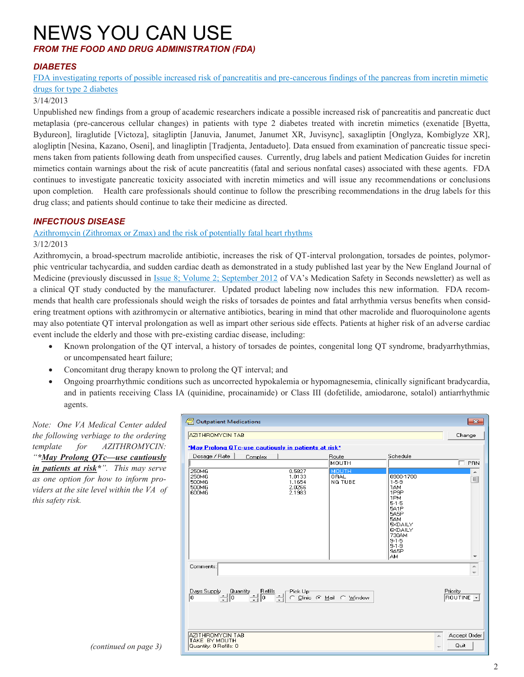# NEWS YOU CAN USE

## *FROM THE FOOD AND DRUG ADMINISTRATION (FDA)*

## *DIABETES*

[FDA investigating reports of possible increased risk of pancreatitis and pre](http://www.fda.gov/Drugs/DrugSafety/ucm343187.htm)-cancerous findings of the pancreas from incretin mimetic [drugs for type 2 diabetes](http://www.fda.gov/Drugs/DrugSafety/ucm343187.htm)

## 3/14/2013

Unpublished new findings from a group of academic researchers indicate a possible increased risk of pancreatitis and pancreatic duct metaplasia (pre-cancerous cellular changes) in patients with type 2 diabetes treated with incretin mimetics (exenatide [Byetta, Bydureon], liraglutide [Victoza], sitagliptin [Januvia, Janumet, Janumet XR, Juvisync], saxagliptin [Onglyza, Kombiglyze XR], alogliptin [Nesina, Kazano, Oseni], and linagliptin [Tradjenta, Jentadueto]. Data ensued from examination of pancreatic tissue specimens taken from patients following death from unspecified causes. Currently, drug labels and patient Medication Guides for incretin mimetics contain warnings about the risk of acute pancreatitis (fatal and serious nonfatal cases) associated with these agents. FDA continues to investigate pancreatic toxicity associated with incretin mimetics and will issue any recommendations or conclusions upon completion. Health care professionals should continue to follow the prescribing recommendations in the drug labels for this drug class; and patients should continue to take their medicine as directed.

## *INFECTIOUS DISEASE*

## [Azithromycin \(Zithromax or Zmax\) and the risk of potentially fatal heart rhythms](http://www.fda.gov/Drugs/DrugSafety/ucm341822.htm)

3/12/2013

Azithromycin, a broad-spectrum macrolide antibiotic, increases the risk of QT-interval prolongation, torsades de pointes, polymorphic ventricular tachycardia, and sudden cardiac death as demonstrated in a study published last year by the New England Journal of Medicine (previously discussed in [Issue 8; Volume 2; September 2012](http://www.pbm.va.gov/PBM/vacenterfor medicationsafety/newsletter /MedicationSafetyinSecondsSept2012FINAL.pdf) of VA's Medication Safety in Seconds newsletter) as well as a clinical QT study conducted by the manufacturer. Updated product labeling now includes this new information. FDA recommends that health care professionals should weigh the risks of torsades de pointes and fatal arrhythmia versus benefits when considering treatment options with azithromycin or alternative antibiotics, bearing in mind that other macrolide and fluoroquinolone agents may also potentiate QT interval prolongation as well as impart other serious side effects. Patients at higher risk of an adverse cardiac event include the elderly and those with pre-existing cardiac disease, including:

- Known prolongation of the QT interval, a history of torsades de pointes, congenital long QT syndrome, bradyarrhythmias, or uncompensated heart failure;
- Concomitant drug therapy known to prolong the QT interval; and
- Ongoing proarrhythmic conditions such as uncorrected hypokalemia or hypomagnesemia, clinically significant bradycardia, and in patients receiving Class IA (quinidine, procainamide) or Class III (dofetilide, amiodarone, sotalol) antiarrhythmic agents.

*Note: One VA Medical Center added the following verbiage to the ordering template for AZITHROMYCIN: "\*May Prolong QTc—use cautiously in patients at risk\*". This may serve as one option for how to inform providers at the site level within the VA of this safety risk.* 

| Outpatient Medications                                                                                                    | $-23$   |                                                |                                               |                                                                                                                                                                             |                            |  |
|---------------------------------------------------------------------------------------------------------------------------|---------|------------------------------------------------|-----------------------------------------------|-----------------------------------------------------------------------------------------------------------------------------------------------------------------------------|----------------------------|--|
| <b>AZITHROMYCIN TAB</b>                                                                                                   | Change  |                                                |                                               |                                                                                                                                                                             |                            |  |
| *May Prolong QTc-use cautiously in patients at risk*                                                                      |         |                                                |                                               |                                                                                                                                                                             |                            |  |
| Dosage / Rate                                                                                                             | Complex |                                                | Route                                         | Schedule                                                                                                                                                                    |                            |  |
|                                                                                                                           |         |                                                | MOUTH                                         |                                                                                                                                                                             | $\Box$ PRN                 |  |
| 250MG<br>250MG<br>500MG<br>500MG<br>600MG                                                                                 |         | 0.5827<br>1.0133<br>1.1654<br>2.0266<br>2.1983 | <b>MOUTH</b><br><b>ORAL</b><br><b>NG TUBE</b> | 0900-1700<br>$1-5-9$<br>1AM<br>1P <sub>9</sub> P<br>1PM<br>$5-1-5$<br>5A1P<br>5A5P<br>5AM<br>5XDAILY<br><b>6XDAILY</b><br>730AM<br>$9 - 1 - 5$<br>$9 - 1 - 9$<br>9A5P<br>AМ | ×.<br>티<br>٠               |  |
| Comments:<br>∸<br>$\overline{\phantom{a}}$                                                                                |         |                                                |                                               |                                                                                                                                                                             |                            |  |
| Priority<br>Days Supply<br>Quantity<br>Refills<br>Pick Up<br>레리<br>싂<br>۱o<br>C Clinic C Mail C Window<br>ROUTINE -<br>10 |         |                                                |                                               |                                                                                                                                                                             |                            |  |
| AZITHROMYCIN TAB<br>TAKE BY MOUTH<br>Quantity: 0 Refills: 0                                                               |         |                                                |                                               |                                                                                                                                                                             | Accept Order<br>×.<br>Quit |  |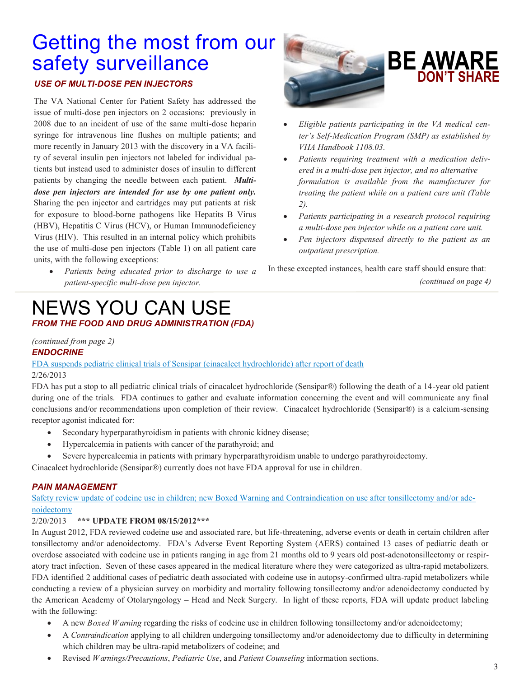# <span id="page-2-0"></span>Getting the most from our safety surveillance

## *USE OF MULTI-DOSE PEN INJECTORS*

The VA National Center for Patient Safety has addressed the issue of multi-dose pen injectors on 2 occasions: previously in 2008 due to an incident of use of the same multi-dose heparin syringe for intravenous line flushes on multiple patients; and more recently in January 2013 with the discovery in a VA facility of several insulin pen injectors not labeled for individual patients but instead used to administer doses of insulin to different patients by changing the needle between each patient. *Multidose pen injectors are intended for use by one patient only.*  Sharing the pen injector and cartridges may put patients at risk for exposure to blood-borne pathogens like Hepatits B Virus (HBV), Hepatitis C Virus (HCV), or Human Immunodeficiency Virus (HIV). This resulted in an internal policy which prohibits the use of multi-dose pen injectors (Table 1) on all patient care units, with the following exceptions:

 *Patients being educated prior to discharge to use a patient-specific multi-dose pen injector.* 

## NEWS YOU CAN USE *FROM THE FOOD AND DRUG ADMINISTRATION (FDA)*

# **BE AWARE DON'T SHARE**

- *Eligible patients participating in the VA medical center's Self-Medication Program (SMP) as established by VHA Handbook 1108.03.*
- *Patients requiring treatment with a medication delivered in a multi-dose pen injector, and no alternative formulation is available from the manufacturer for treating the patient while on a patient care unit (Table 2).*
- *Patients participating in a research protocol requiring a multi-dose pen injector while on a patient care unit.*
- *Pen injectors dispensed directly to the patient as an outpatient prescription.*

In these excepted instances, health care staff should ensure that: *(continued on page 4)*

## *(continued from page 2)*

## *ENDOCRINE*

[FDA suspends pediatric clinical trials of Sensipar \(cinacalcet hydrochloride\) after report of death](http://www.fds.gov/Drugs/DrugSafety/ucm340551.htm) 2/26/2013

FDA has put a stop to all pediatric clinical trials of cinacalcet hydrochloride (Sensipar®) following the death of a 14-year old patient during one of the trials. FDA continues to gather and evaluate information concerning the event and will communicate any final conclusions and/or recommendations upon completion of their review. Cinacalcet hydrochloride (Sensipar®) is a calcium-sensing receptor agonist indicated for:

- Secondary hyperparathyroidism in patients with chronic kidney disease;
- Hypercalcemia in patients with cancer of the parathyroid; and
- Severe hypercalcemia in patients with primary hyperparathyroidism unable to undergo parathyroidectomy.

Cinacalcet hydrochloride (Sensipar®) currently does not have FDA approval for use in children.

## *PAIN MANAGEMENT*

[Safety review update of codeine use in children; new Boxed Warning and Contraindication on use after tonsillectomy and/or ade](http://www.fds.gov/Drugs/DrugSafety/ucm339112.htm)[noidectomy](http://www.fds.gov/Drugs/DrugSafety/ucm339112.htm)

## 2/20/2013 **\*\*\* UPDATE FROM 08/15/2012\*\*\***

In August 2012, FDA reviewed codeine use and associated rare, but life-threatening, adverse events or death in certain children after tonsillectomy and/or adenoidectomy. FDA's Adverse Event Reporting System (AERS) contained 13 cases of pediatric death or overdose associated with codeine use in patients ranging in age from 21 months old to 9 years old post-adenotonsillectomy or respiratory tract infection. Seven of these cases appeared in the medical literature where they were categorized as ultra-rapid metabolizers. FDA identified 2 additional cases of pediatric death associated with codeine use in autopsy-confirmed ultra-rapid metabolizers while conducting a review of a physician survey on morbidity and mortality following tonsillectomy and/or adenoidectomy conducted by the American Academy of Otolaryngology – Head and Neck Surgery. In light of these reports, FDA will update product labeling with the following:

- A new *Boxed Warning* regarding the risks of codeine use in children following tonsillectomy and/or adenoidectomy;
- A *Contraindication* applying to all children undergoing tonsillectomy and/or adenoidectomy due to difficulty in determining which children may be ultra-rapid metabolizers of codeine; and
- Revised *Warnings/Precautions*, *Pediatric Use*, and *Patient Counseling* information sections.